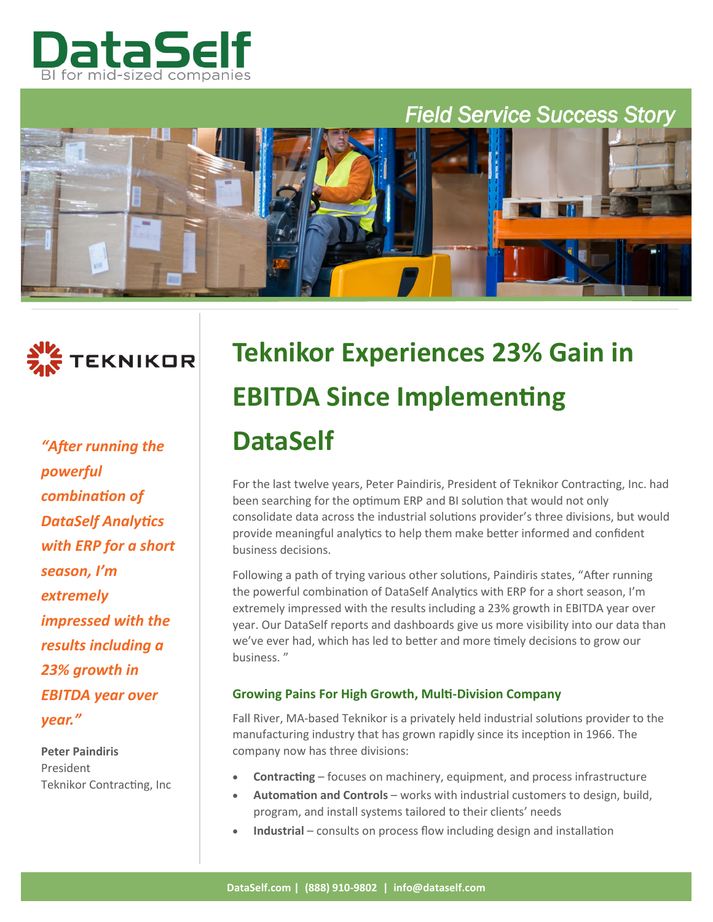

# *Field Service Success Story*



*"After running the powerful combination of DataSelf Analytics with ERP for a short season, I'm extremely impressed with the results including a 23% growth in EBITDA year over year."*

**Peter Paindiris** President Teknikor Contracting, Inc

# **Teknikor Experiences 23% Gain in EBITDA Since Implementing DataSelf**

For the last twelve years, Peter Paindiris, President of Teknikor Contracting, Inc. had been searching for the optimum ERP and BI solution that would not only consolidate data across the industrial solutions provider's three divisions, but would provide meaningful analytics to help them make better informed and confident business decisions.

Following a path of trying various other solutions, Paindiris states, "After running the powerful combination of DataSelf Analytics with ERP for a short season, I'm extremely impressed with the results including a 23% growth in EBITDA year over year. Our DataSelf reports and dashboards give us more visibility into our data than we've ever had, which has led to better and more timely decisions to grow our business. "

## **Growing Pains For High Growth, Multi-Division Company**

Fall River, MA-based Teknikor is a privately held industrial solutions provider to the manufacturing industry that has grown rapidly since its inception in 1966. The company now has three divisions:

- **Contracting** focuses on machinery, equipment, and process infrastructure
- **Automation and Controls** works with industrial customers to design, build, program, and install systems tailored to their clients' needs
- Industrial consults on process flow including design and installation